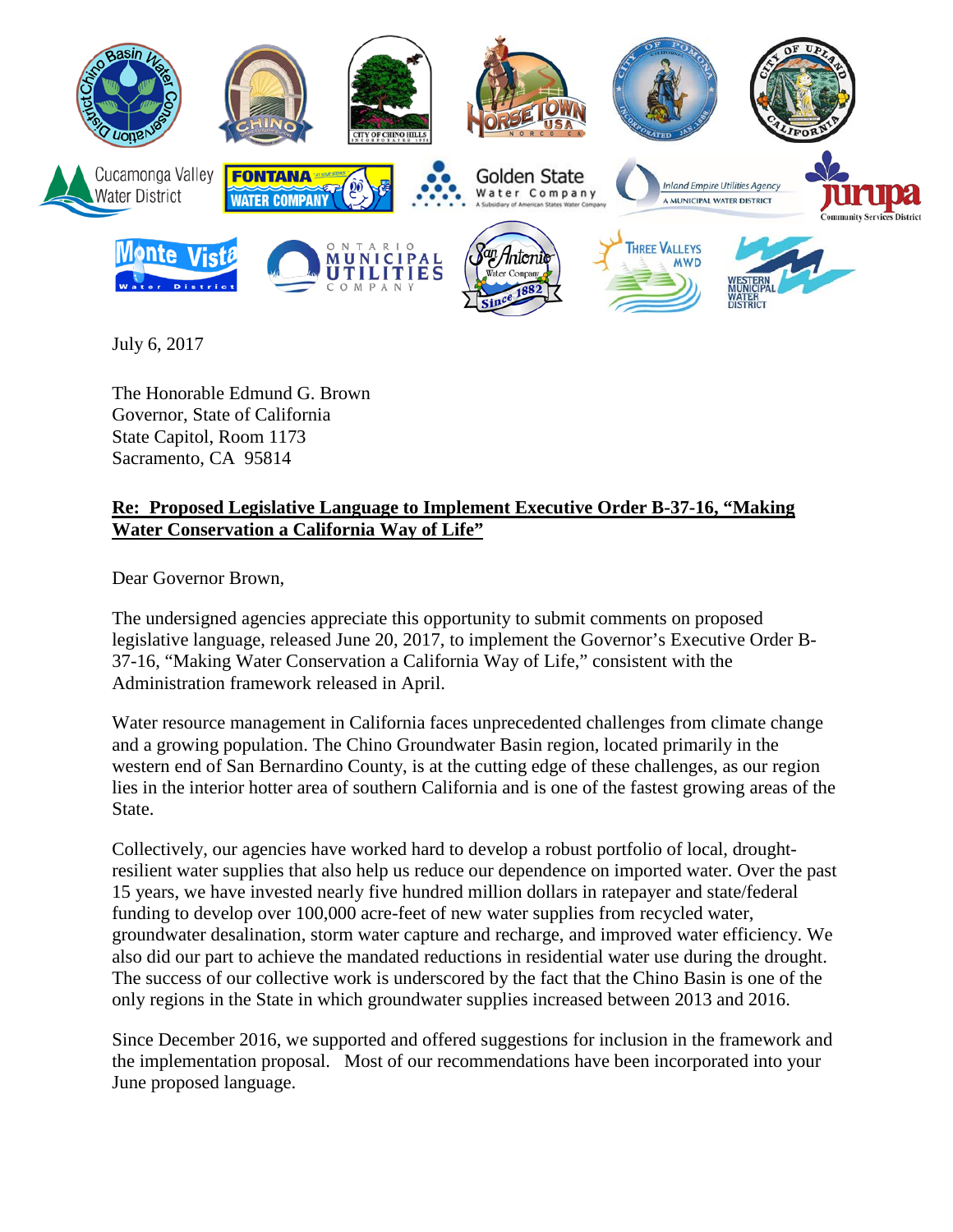

July 6, 2017

The Honorable Edmund G. Brown Governor, State of California State Capitol, Room 1173 Sacramento, CA 95814

## **Re: Proposed Legislative Language to Implement Executive Order B-37-16, "Making Water Conservation a California Way of Life"**

Dear Governor Brown,

The undersigned agencies appreciate this opportunity to submit comments on proposed legislative language, released June 20, 2017, to implement the Governor's Executive Order B-37-16, "Making Water Conservation a California Way of Life," consistent with the Administration framework released in April.

Water resource management in California faces unprecedented challenges from climate change and a growing population. The Chino Groundwater Basin region, located primarily in the western end of San Bernardino County, is at the cutting edge of these challenges, as our region lies in the interior hotter area of southern California and is one of the fastest growing areas of the State.

Collectively, our agencies have worked hard to develop a robust portfolio of local, droughtresilient water supplies that also help us reduce our dependence on imported water. Over the past 15 years, we have invested nearly five hundred million dollars in ratepayer and state/federal funding to develop over 100,000 acre-feet of new water supplies from recycled water, groundwater desalination, storm water capture and recharge, and improved water efficiency. We also did our part to achieve the mandated reductions in residential water use during the drought. The success of our collective work is underscored by the fact that the Chino Basin is one of the only regions in the State in which groundwater supplies increased between 2013 and 2016.

Since December 2016, we supported and offered suggestions for inclusion in the framework and the implementation proposal. Most of our recommendations have been incorporated into your June proposed language.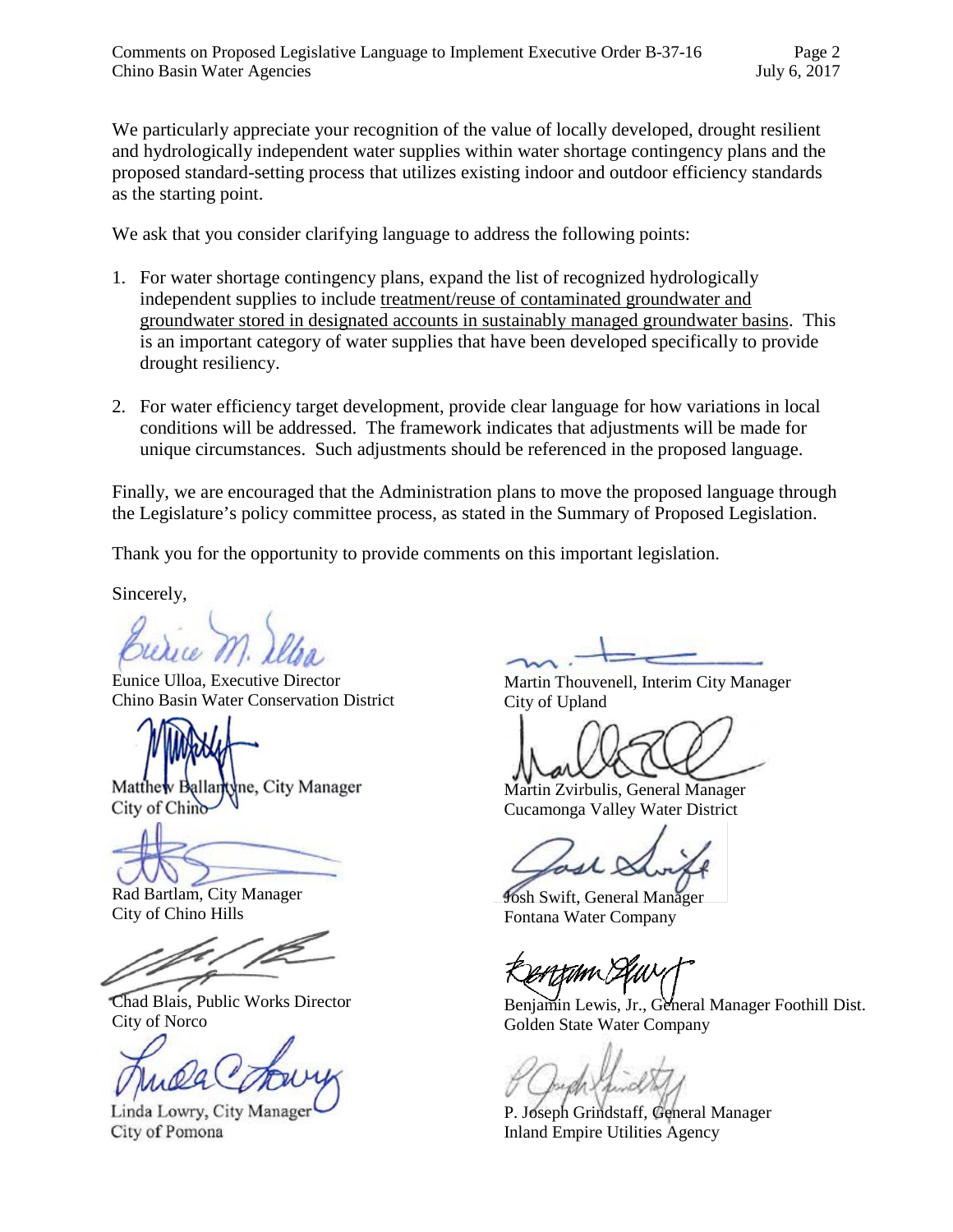We particularly appreciate your recognition of the value of locally developed, drought resilient and hydrologically independent water supplies within water shortage contingency plans and the proposed standard-setting process that utilizes existing indoor and outdoor efficiency standards as the starting point.

We ask that you consider clarifying language to address the following points:

- 1. For water shortage contingency plans, expand the list of recognized hydrologically independent supplies to include treatment/reuse of contaminated groundwater and groundwater stored in designated accounts in sustainably managed groundwater basins. This is an important category of water supplies that have been developed specifically to provide drought resiliency.
- 2. For water efficiency target development, provide clear language for how variations in local conditions will be addressed. The framework indicates that adjustments will be made for unique circumstances. Such adjustments should be referenced in the proposed language.

Finally, we are encouraged that the Administration plans to move the proposed language through the Legislature's policy committee process, as stated in the Summary of Proposed Legislation.

Thank you for the opportunity to provide comments on this important legislation.

Sincerely,

Eunice Ulloa, Executive Director Chino Basin Water Conservation District

Matthew Ballantyne, City Manager City of Chino

Rad Bartlam, City Manager City of Chino Hills

Chad Blais, Public Works Director City of Norco

Linda Lowry, City Manager City of Pomona

Martin Thouvenell, Interim City Manager City of Upland

Martin Zvirbulis, General Manager Cucamonga Valley Water District

Josh Swift, General Manager Fontana Water Company

rtimix T

Benjamin Lewis, Jr., General Manager Foothill Dist. Golden State Water Company

P. Joseph Grindstaff, General Manager Inland Empire Utilities Agency